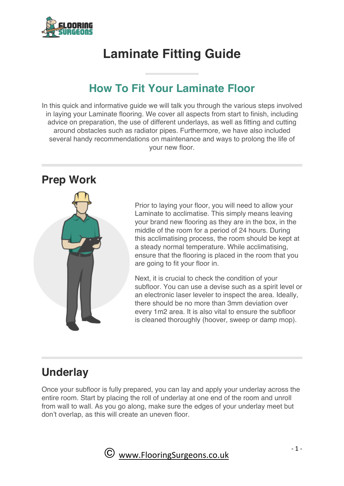

# **Laminate Fitting Guide**

# **How To Fit Your Laminate Floor**

In this quick and informative guide we will talk you through the various steps involved in laying your Laminate flooring. We cover all aspects from start to finish, including advice on preparation, the use of different underlays, as well as fitting and cutting around obstacles such as radiator pipes. Furthermore, we have also included several handy recommendations on maintenance and ways to prolong the life of your new floor.

## **Prep Work**



Prior to laying your floor, you will need to allow your Laminate to acclimatise. This simply means leaving your brand new flooring as they are in the box, in the middle of the room for a period of 24 hours. During this acclimatising process, the room should be kept at a steady normal temperature. While acclimatising, ensure that the flooring is placed in the room that you are going to fit your floor in.

Next, it is crucial to check the condition of your subfloor. You can use a devise such as a spirit level or an electronic laser leveler to inspect the area. Ideally, there should be no more than 3mm deviation over every 1m2 area. It is also vital to ensure the subfloor is cleaned thoroughly (hoover, sweep or damp mop).

# **Underlay**

Once your subfloor is fully prepared, you can lay and apply your underlay across the entire room. Start by placing the roll of underlay at one end of the room and unroll from wall to wall. As you go along, make sure the edges of your underlay meet but don't overlap, as this will create an uneven floor.

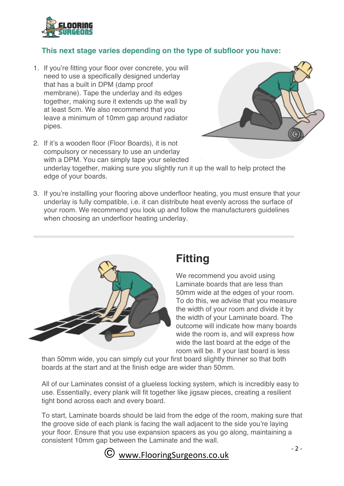

#### **This next stage varies depending on the type of subfloor you have:**

1. If you're fitting your floor over concrete, you will need to use a specifically designed underlay that has a built in DPM (damp proof membrane). Tape the underlay and its edges together, making sure it extends up the wall by at least 5cm. We also recommend that you leave a minimum of 10mm gap around radiator pipes.



- 2. If it's a wooden floor (Floor Boards), it is not compulsory or necessary to use an underlay with a DPM. You can simply tape your selected underlay together, making sure you slightly run it up the wall to help protect the edge of your boards.
- 3. If you're installing your flooring above underfloor heating, you must ensure that your underlay is fully compatible, i.e. it can distribute heat evenly across the surface of your room. We recommend you look up and follow the manufacturers guidelines when choosing an underfloor heating underlay.



# **Fitting**

We recommend you avoid using Laminate boards that are less than 50mm wide at the edges of your room. To do this, we advise that you measure the width of your room and divide it by the width of your Laminate board. The outcome will indicate how many boards wide the room is, and will express how wide the last board at the edge of the room will be. If your last board is less

than 50mm wide, you can simply cut your first board slightly thinner so that both boards at the start and at the finish edge are wider than 50mm.

All of our Laminates consist of a glueless locking system, which is incredibly easy to use. Essentially, every plank will fit together like jigsaw pieces, creating a resilient tight bond across each and every board.

To start, Laminate boards should be laid from the edge of the room, making sure that the groove side of each plank is facing the wall adjacent to the side you're laying your floor. Ensure that you use expansion spacers as you go along, maintaining a consistent 10mm gap between the Laminate and the wall.

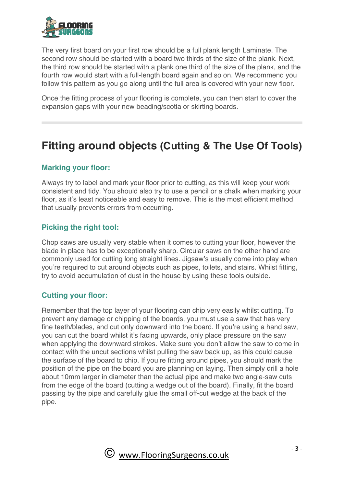

The very first board on your first row should be a full plank length Laminate. The second row should be started with a board two thirds of the size of the plank. Next, the third row should be started with a plank one third of the size of the plank, and the fourth row would start with a full-length board again and so on. We recommend you follow this pattern as you go along until the full area is covered with your new floor.

Once the fitting process of your flooring is complete, you can then start to cover the expansion gaps with your new beading/scotia or skirting boards.

# **Fitting around objects (Cutting & The Use Of Tools)**

#### **Marking your floor:**

Always try to label and mark your floor prior to cutting, as this will keep your work consistent and tidy. You should also try to use a pencil or a chalk when marking your floor, as it's least noticeable and easy to remove. This is the most efficient method that usually prevents errors from occurring.

#### **Picking the right tool:**

Chop saws are usually very stable when it comes to cutting your floor, however the blade in place has to be exceptionally sharp. Circular saws on the other hand are commonly used for cutting long straight lines. Jigsaw's usually come into play when you're required to cut around objects such as pipes, toilets, and stairs. Whilst fitting, try to avoid accumulation of dust in the house by using these tools outside.

#### **Cutting your floor:**

Remember that the top layer of your flooring can chip very easily whilst cutting. To prevent any damage or chipping of the boards, you must use a saw that has very fine teeth/blades, and cut only downward into the board. If you're using a hand saw, you can cut the board whilst it's facing upwards, only place pressure on the saw when applying the downward strokes. Make sure you don't allow the saw to come in contact with the uncut sections whilst pulling the saw back up, as this could cause the surface of the board to chip. If you're fitting around pipes, you should mark the position of the pipe on the board you are planning on laying. Then simply drill a hole about 10mm larger in diameter than the actual pipe and make two angle-saw cuts from the edge of the board (cutting a wedge out of the board). Finally, fit the board passing by the pipe and carefully glue the small off-cut wedge at the back of the pipe.

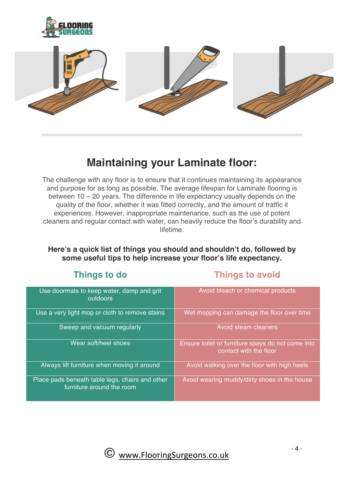



# **Maintaining your Laminate floor:**

The challenge with any floor is to ensure that it continues maintaining its appearance and purpose for as long as possible. The average lifespan for Laminate flooring is between 10 – 20 years. The difference in life expectancy usually depends on the quality of the floor, whether it was fitted correctly, and the amount of traffic it experiences. However, inappropriate maintenance, such as the use of potent cleaners and regular contact with water, can heavily reduce the floor's durability and lifetime.

#### **Here's a quick list of things you should and shouldn't do, followed by some useful tips to help increase your floor's life expectancy.**

### **Things to do Things to avoid**

| Use doormats to keep water, damp and grit<br>outdoors                        | Avoid bleach or chemical products                                           |
|------------------------------------------------------------------------------|-----------------------------------------------------------------------------|
| Use a very light mop or cloth to remove stains                               | Wet mopping can damage the floor over time                                  |
| Sweep and vacuum regularly                                                   | Avoid steam cleaners                                                        |
| Wear soft/heel shoes                                                         | Ensure toilet or furniture spays do not come into<br>contact with the floor |
| Always lift furniture when moving it around                                  | Avoid walking over the floor with high heels                                |
| Place pads beneath table legs, chairs and other<br>furniture around the room | Avoid wearing muddy/dirty shoes in the house                                |